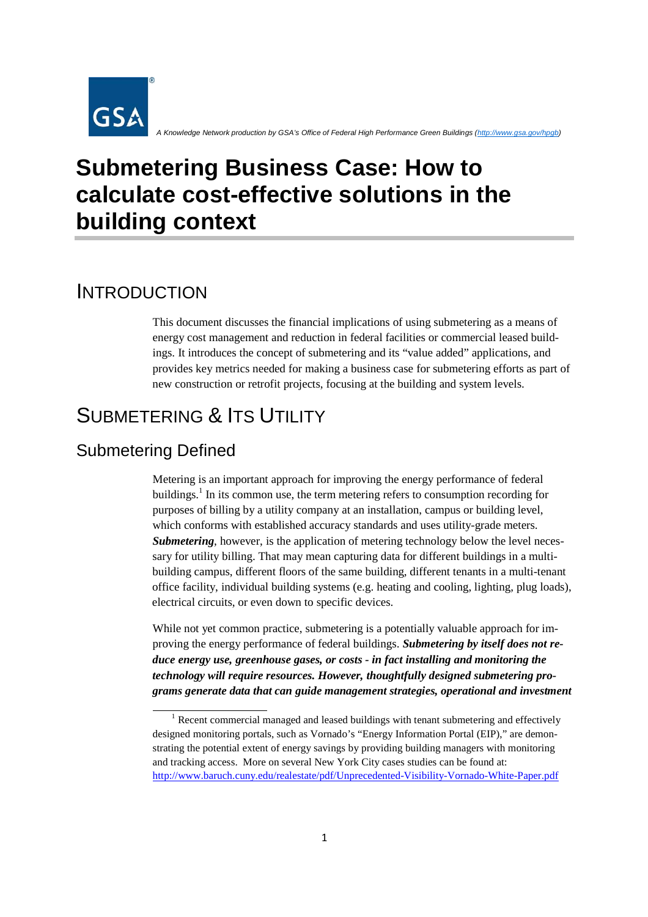

*A Knowledge Network production by GSA's Office of Federal High Performance Green Buildings (http://www.gsa.gov/hpgb)* 

# **Submetering Business Case: How to calculate cost-effective solutions in the building context**

### INTRODUCTION

This document discusses the financial implications of using submetering as a means of energy cost management and reduction in federal facilities or commercial leased buildings. It introduces the concept of submetering and its "value added" applications, and provides key metrics needed for making a business case for submetering efforts as part of new construction or retrofit projects, focusing at the building and system levels.

# SUBMETERING & ITS UTILITY

#### Submetering Defined

Metering is an important approach for improving the energy performance of federal buildings.<sup>1</sup> In its common use, the term metering refers to consumption recording for purposes of billing by a utility company at an installation, campus or building level, which conforms with established accuracy standards and uses utility-grade meters. **Submetering**, however, is the application of metering technology below the level necessary for utility billing. That may mean capturing data for different buildings in a multibuilding campus, different floors of the same building, different tenants in a multi-tenant office facility, individual building systems (e.g. heating and cooling, lighting, plug loads), electrical circuits, or even down to specific devices.

While not yet common practice, submetering is a potentially valuable approach for improving the energy performance of federal buildings. *Submetering by itself does not reduce energy use, greenhouse gases, or costs - in fact installing and monitoring the technology will require resources. However, thoughtfully designed submetering programs generate data that can guide management strategies, operational and investment* 

 $1$  Recent commercial managed and leased buildings with tenant submetering and effectively designed monitoring portals, such as Vornado's "Energy Information Portal (EIP)," are demonstrating the potential extent of energy savings by providing building managers with monitoring and tracking access. More on several New York City cases studies can be found at: http://www.baruch.cuny.edu/realestate/pdf/Unprecedented-Visibility-Vornado-White-Paper.pdf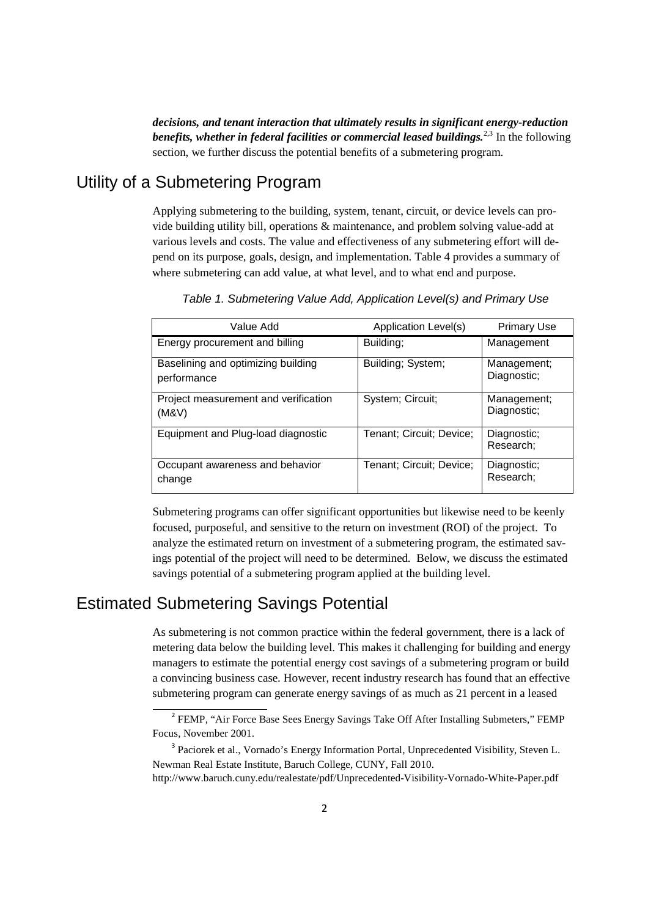*decisions, and tenant interaction that ultimately results in significant energy-reduction*  benefits, whether in federal facilities or commercial leased buildings.<sup>2,3</sup> In the following section, we further discuss the potential benefits of a submetering program.

#### Utility of a Submetering Program

Applying submetering to the building, system, tenant, circuit, or device levels can provide building utility bill, operations & maintenance, and problem solving value-add at various levels and costs. The value and effectiveness of any submetering effort will depend on its purpose, goals, design, and implementation. Table 4 provides a summary of where submetering can add value, at what level, and to what end and purpose.

| Value Add                                         | Application Level(s)     | <b>Primary Use</b>         |
|---------------------------------------------------|--------------------------|----------------------------|
| Energy procurement and billing                    | Building;                | Management                 |
| Baselining and optimizing building<br>performance | Building; System;        | Management;<br>Diagnostic; |
| Project measurement and verification<br>(M&V)     | System; Circuit;         | Management;<br>Diagnostic; |
| Equipment and Plug-load diagnostic                | Tenant; Circuit; Device; | Diagnostic;<br>Research;   |
| Occupant awareness and behavior<br>change         | Tenant; Circuit; Device; | Diagnostic;<br>Research;   |

*Table 1. Submetering Value Add, Application Level(s) and Primary Use* 

Submetering programs can offer significant opportunities but likewise need to be keenly focused, purposeful, and sensitive to the return on investment (ROI) of the project. To analyze the estimated return on investment of a submetering program, the estimated savings potential of the project will need to be determined. Below, we discuss the estimated savings potential of a submetering program applied at the building level.

#### Estimated Submetering Savings Potential

As submetering is not common practice within the federal government, there is a lack of metering data below the building level. This makes it challenging for building and energy managers to estimate the potential energy cost savings of a submetering program or build a convincing business case. However, recent industry research has found that an effective submetering program can generate energy savings of as much as 21 percent in a leased

<sup>&</sup>lt;sup>2</sup> FEMP, "Air Force Base Sees Energy Savings Take Off After Installing Submeters," FEMP Focus, November 2001.

<sup>&</sup>lt;sup>3</sup> Paciorek et al., Vornado's Energy Information Portal, Unprecedented Visibility, Steven L. Newman Real Estate Institute, Baruch College, CUNY, Fall 2010. http://www.baruch.cuny.edu/realestate/pdf/Unprecedented-Visibility-Vornado-White-Paper.pdf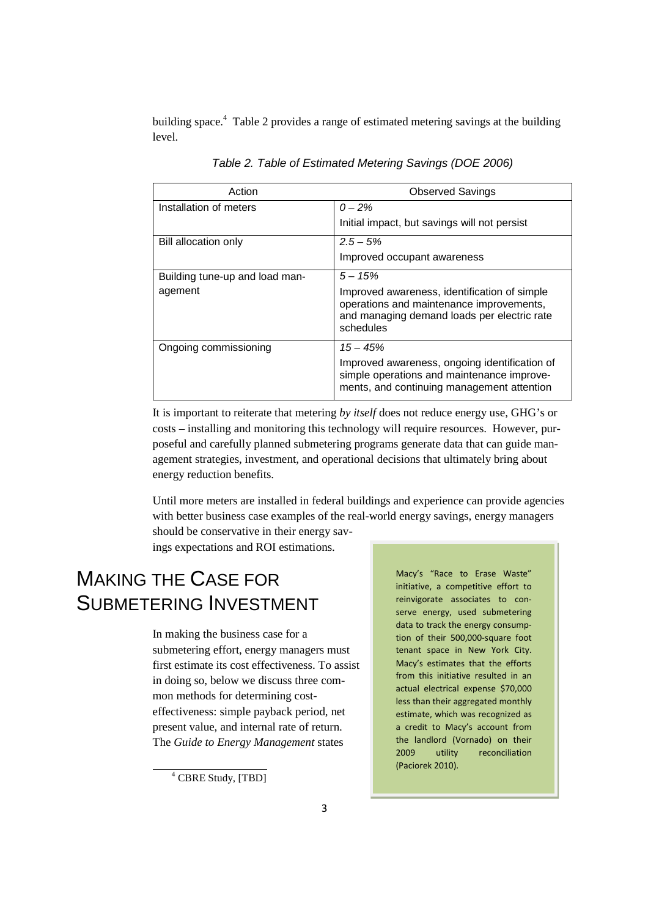building space. 4 Table 2 provides a range of estimated metering savings at the building level.

| Action                         | <b>Observed Savings</b>                                                                                                                              |  |
|--------------------------------|------------------------------------------------------------------------------------------------------------------------------------------------------|--|
| Installation of meters         | $0 - 2\%$                                                                                                                                            |  |
|                                | Initial impact, but savings will not persist                                                                                                         |  |
| Bill allocation only           | $2.5 - 5\%$                                                                                                                                          |  |
|                                | Improved occupant awareness                                                                                                                          |  |
| Building tune-up and load man- | $5 - 15%$                                                                                                                                            |  |
| agement                        | Improved awareness, identification of simple<br>operations and maintenance improvements,<br>and managing demand loads per electric rate<br>schedules |  |
| Ongoing commissioning          | $15 - 45%$                                                                                                                                           |  |
|                                | Improved awareness, ongoing identification of<br>simple operations and maintenance improve-<br>ments, and continuing management attention            |  |

*Table 2. Table of Estimated Metering Savings (DOE 2006)* 

It is important to reiterate that metering *by itself* does not reduce energy use, GHG's or costs – installing and monitoring this technology will require resources. However, purposeful and carefully planned submetering programs generate data that can guide management strategies, investment, and operational decisions that ultimately bring about energy reduction benefits.

Until more meters are installed in federal buildings and experience can provide agencies with better business case examples of the real-world energy savings, energy managers should be conservative in their energy sav-

ings expectations and ROI estimations.

# MAKING THE CASE FOR Macy's "Race to Erase Waste" SUBMETERING INVESTMENT **reinvigorate** associates to con-

In making the business case for a tion of their 500,000-square foot submetering effort, energy managers must tenant space in New York City. first estimate its cost effectiveness. To assist Macy's estimates that the efforts from this initiative resulted in an in doing so, below we discuss three common methods for determining cost-<br>less than their aggregated monthly effectiveness: simple payback period, net estimate, which was recognized as present value, and internal rate of return. a credit to Macy's account from

serve energy, used submetering data to track the energy consumpactual electrical expense \$70,000 The *Guide to Energy Management* states the landlord (Vornado) on their<br>2009 utility reconciliation reconciliation (Paciorek 2010).

<sup>4</sup> CBRE Study, [TBD]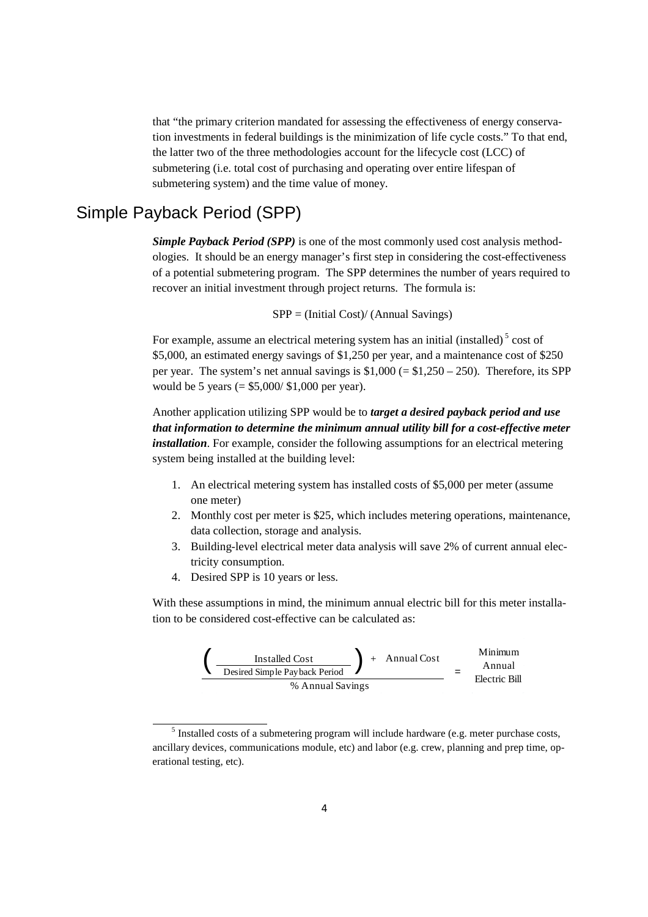that "the primary criterion mandated for assessing the effectiveness of energy conservation investments in federal buildings is the minimization of life cycle costs." To that end, the latter two of the three methodologies account for the lifecycle cost (LCC) of submetering (i.e. total cost of purchasing and operating over entire lifespan of submetering system) and the time value of money.

#### Simple Payback Period (SPP)

*Simple Payback Period (SPP)* is one of the most commonly used cost analysis methodologies. It should be an energy manager's first step in considering the cost-effectiveness of a potential submetering program. The SPP determines the number of years required to recover an initial investment through project returns. The formula is:

SPP = (Initial Cost)/ (Annual Savings)

For example, assume an electrical metering system has an initial (installed)<sup>5</sup> cost of \$5,000, an estimated energy savings of \$1,250 per year, and a maintenance cost of \$250 per year. The system's net annual savings is  $$1,000 (= $1,250 - 250)$ . Therefore, its SPP would be 5 years (= \$5,000/ \$1,000 per year).

Another application utilizing SPP would be to *target a desired payback period and use that information to determine the minimum annual utility bill for a cost-effective meter installation*. For example, consider the following assumptions for an electrical metering system being installed at the building level:

- 1. An electrical metering system has installed costs of \$5,000 per meter (assume one meter)
- 2. Monthly cost per meter is \$25, which includes metering operations, maintenance, data collection, storage and analysis.
- 3. Building-level electrical meter data analysis will save 2% of current annual electricity consumption.
- 4. Desired SPP is 10 years or less.

With these assumptions in mind, the minimum annual electric bill for this meter installation to be considered cost-effective can be calculated as:



<sup>5</sup> Installed costs of a submetering program will include hardware (e.g. meter purchase costs, ancillary devices, communications module, etc) and labor (e.g. crew, planning and prep time, operational testing, etc).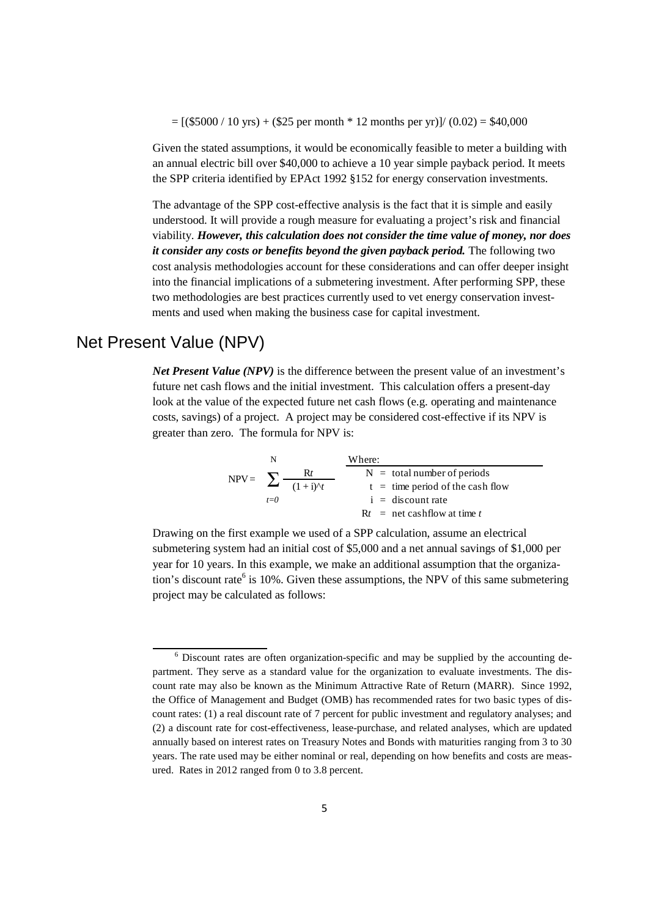$=[ ($5000 / 10 \text{ yrs}) + ($25 \text{ per month} * 12 \text{ months per yr})] / (0.02) = $40,000$ 

Given the stated assumptions, it would be economically feasible to meter a building with an annual electric bill over \$40,000 to achieve a 10 year simple payback period. It meets the SPP criteria identified by EPAct 1992 §152 for energy conservation investments.

The advantage of the SPP cost-effective analysis is the fact that it is simple and easily understood. It will provide a rough measure for evaluating a project's risk and financial viability. *However, this calculation does not consider the time value of money, nor does it consider any costs or benefits beyond the given payback period. The following two* cost analysis methodologies account for these considerations and can offer deeper insight into the financial implications of a submetering investment. After performing SPP, these two methodologies are best practices currently used to vet energy conservation investments and used when making the business case for capital investment.

#### Net Present Value (NPV)

*Net Present Value (NPV)* is the difference between the present value of an investment's future net cash flows and the initial investment. This calculation offers a present-day look at the value of the expected future net cash flows (e.g. operating and maintenance costs, savings) of a project. A project may be considered cost-effective if its NPV is greater than zero. The formula for NPV is:

$$
NPV = \sum_{t=0}^{N} \frac{Rt}{(1+i)^{\Delta}t}
$$
 
$$
\frac{Where:}{N = \text{total number of periods}}
$$
  
  $t = \text{time period of the cash flow}$   
  $i = \text{discount rate}$   
  $Rt = \text{net cashflow at time } t$ 

Drawing on the first example we used of a SPP calculation, assume an electrical submetering system had an initial cost of \$5,000 and a net annual savings of \$1,000 per year for 10 years. In this example, we make an additional assumption that the organization's discount rate<sup>6</sup> is 10%. Given these assumptions, the NPV of this same submetering project may be calculated as follows:

<sup>6</sup> Discount rates are often organization-specific and may be supplied by the accounting department. They serve as a standard value for the organization to evaluate investments. The discount rate may also be known as the Minimum Attractive Rate of Return (MARR). Since 1992, the Office of Management and Budget (OMB) has recommended rates for two basic types of discount rates: (1) a real discount rate of 7 percent for public investment and regulatory analyses; and (2) a discount rate for cost-effectiveness, lease-purchase, and related analyses, which are updated annually based on interest rates on Treasury Notes and Bonds with maturities ranging from 3 to 30 years. The rate used may be either nominal or real, depending on how benefits and costs are measured. Rates in 2012 ranged from 0 to 3.8 percent.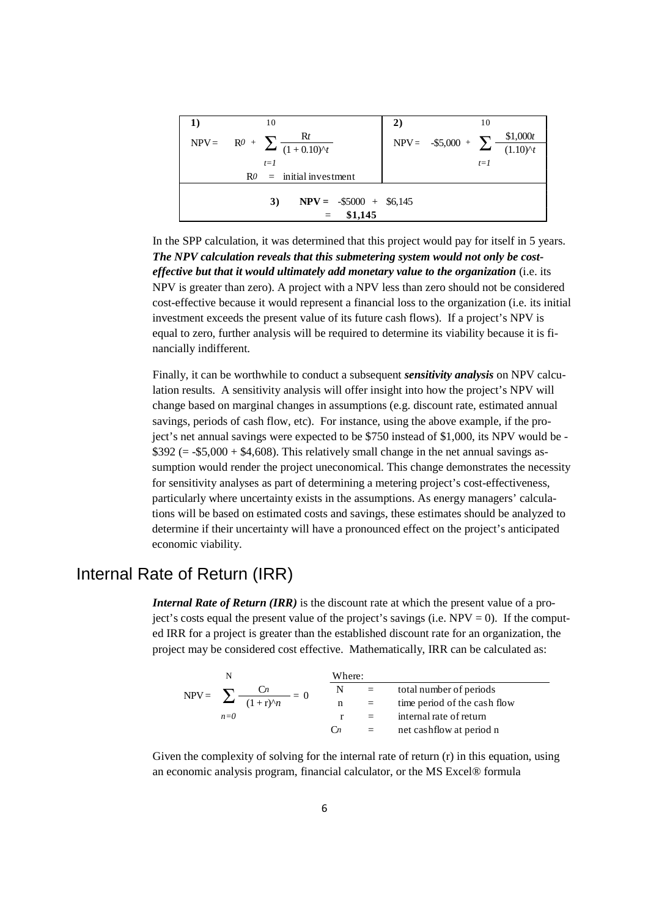|                                 | 10                                       | 2) | 10                                               |  |  |  |
|---------------------------------|------------------------------------------|----|--------------------------------------------------|--|--|--|
|                                 | NPV= R0 + $\sum \frac{Rt}{(1+0.10)^{t}}$ |    | NPV= -\$5,000 + $\sum \frac{$1,000t}{(1.10)^5t}$ |  |  |  |
|                                 |                                          |    |                                                  |  |  |  |
|                                 | $t=1$                                    |    | $t=1$                                            |  |  |  |
| $R0 =$ initial investment       |                                          |    |                                                  |  |  |  |
|                                 |                                          |    |                                                  |  |  |  |
| $NPV = -\$5000 + \$6,145$<br>3) |                                          |    |                                                  |  |  |  |
| \$1,145<br>$=$                  |                                          |    |                                                  |  |  |  |

In the SPP calculation, it was determined that this project would pay for itself in 5 years. *The NPV calculation reveals that this submetering system would not only be costeffective but that it would ultimately add monetary value to the organization* (i.e. its NPV is greater than zero). A project with a NPV less than zero should not be considered cost-effective because it would represent a financial loss to the organization (i.e. its initial investment exceeds the present value of its future cash flows). If a project's NPV is equal to zero, further analysis will be required to determine its viability because it is financially indifferent.

Finally, it can be worthwhile to conduct a subsequent *sensitivity analysis* on NPV calculation results. A sensitivity analysis will offer insight into how the project's NPV will change based on marginal changes in assumptions (e.g. discount rate, estimated annual savings, periods of cash flow, etc). For instance, using the above example, if the project's net annual savings were expected to be \$750 instead of \$1,000, its NPV would be  $$392 (= $5,000 + $4,608)$ . This relatively small change in the net annual savings assumption would render the project uneconomical. This change demonstrates the necessity for sensitivity analyses as part of determining a metering project's cost-effectiveness, particularly where uncertainty exists in the assumptions. As energy managers' calculations will be based on estimated costs and savings, these estimates should be analyzed to determine if their uncertainty will have a pronounced effect on the project's anticipated economic viability.

#### Internal Rate of Return (IRR)

*Internal Rate of Return (IRR)* is the discount rate at which the present value of a project's costs equal the present value of the project's savings (i.e.  $NPV = 0$ ). If the computed IRR for a project is greater than the established discount rate for an organization, the project may be considered cost effective. Mathematically, IRR can be calculated as:

|  |                                         | Where:           |     |                              |
|--|-----------------------------------------|------------------|-----|------------------------------|
|  | $= 0$                                   | N                | $=$ | total number of periods      |
|  | NPV= $\sum \frac{C_n}{(1+r)^{\wedge}n}$ | n                | $=$ | time period of the cash flow |
|  | $n=0$                                   |                  |     | internal rate of return      |
|  |                                         | $\mathfrak{c}_n$ | $=$ | net cashflow at period n     |

Given the complexity of solving for the internal rate of return (r) in this equation, using an economic analysis program, financial calculator, or the MS Excel® formula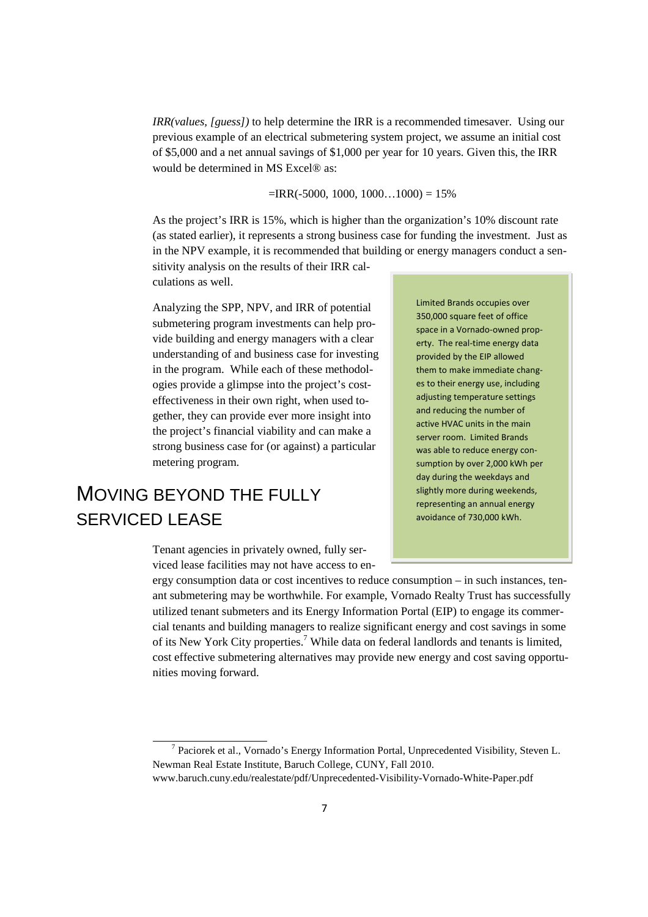*IRR(values, [guess])* to help determine the IRR is a recommended timesaver. Using our previous example of an electrical submetering system project, we assume an initial cost of \$5,000 and a net annual savings of \$1,000 per year for 10 years. Given this, the IRR would be determined in MS Excel® as:

 $=$ IRR(-5000, 1000, 1000...1000) = 15%

As the project's IRR is 15%, which is higher than the organization's 10% discount rate (as stated earlier), it represents a strong business case for funding the investment. Just as in the NPV example, it is recommended that building or energy managers conduct a sen-

sitivity analysis on the results of their IRR calculations as well.

Analyzing the SPP, NPV, and IRR of potential submetering program investments can help provide building and energy managers with a clear understanding of and business case for investing in the program. While each of these methodologies provide a glimpse into the project's costeffectiveness in their own right, when used together, they can provide ever more insight into the project's financial viability and can make a strong business case for (or against) a particular metering program.

### MOVING BEYOND THE FULLY SERVICED LEASE

Tenant agencies in privately owned, fully serviced lease facilities may not have access to en-

Limited Brands occupies over 350,000 square feet of office space in a Vornado-owned property. The real-time energy data provided by the EIP allowed them to make immediate changes to their energy use, including adjusting temperature settings and reducing the number of active HVAC units in the main server room. Limited Brands was able to reduce energy consumption by over 2,000 kWh per day during the weekdays and slightly more during weekends, representing an annual energy avoidance of 730,000 kWh.

ergy consumption data or cost incentives to reduce consumption – in such instances, tenant submetering may be worthwhile. For example, Vornado Realty Trust has successfully utilized tenant submeters and its Energy Information Portal (EIP) to engage its commercial tenants and building managers to realize significant energy and cost savings in some of its New York City properties.<sup>7</sup> While data on federal landlords and tenants is limited, cost effective submetering alternatives may provide new energy and cost saving opportunities moving forward.

<sup>&</sup>lt;sup>7</sup> Paciorek et al., Vornado's Energy Information Portal, Unprecedented Visibility, Steven L. Newman Real Estate Institute, Baruch College, CUNY, Fall 2010. www.baruch.cuny.edu/realestate/pdf/Unprecedented-Visibility-Vornado-White-Paper.pdf